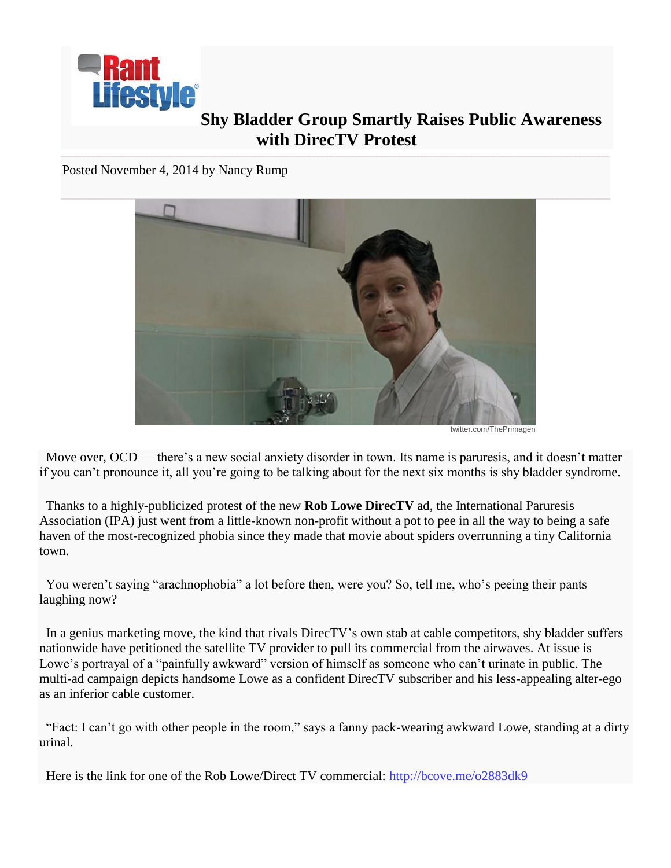

## **Shy Bladder Group Smartly Raises Public Awareness with DirecTV Protest**

Posted November 4, 2014 by [Nancy Rump](http://www.rantlifestyle.com/author/nancy-rump/)



twitter.com/ThePrimagen

 Move over, OCD — there's a new social anxiety disorder in town. Its name is paruresis, and it doesn't matter if you can't pronounce it, all you're going to be talking about for the next six months is shy bladder syndrome.

 Thanks to a highly-publicized protest of the new **Rob Lowe DirecTV** ad, the International Paruresis Association (IPA) just went from a little-known non-profit without a pot to pee in all the way to being a safe haven of the most-recognized phobia since they made that movie about spiders overrunning a tiny California town.

 You weren't saying "arachnophobia" a lot before then, were you? So, tell me, who's peeing their pants laughing now?

 In a genius marketing move, the kind that rivals DirecTV's own stab at cable competitors, shy bladder suffers nationwide have petitioned the satellite TV provider to pull its commercial from the airwaves. At issue is Lowe's portrayal of a "painfully awkward" version of himself as someone who can't urinate in public. The multi-ad campaign depicts handsome Lowe as a confident DirecTV subscriber and his less-appealing alter-ego as an inferior cable customer.

 "Fact: I can't go with other people in the room," says a fanny pack-wearing awkward Lowe, standing at a dirty urinal.

Here is the link for one of the Rob Lowe/Direct TV commercial: <http://bcove.me/o2883dk9>